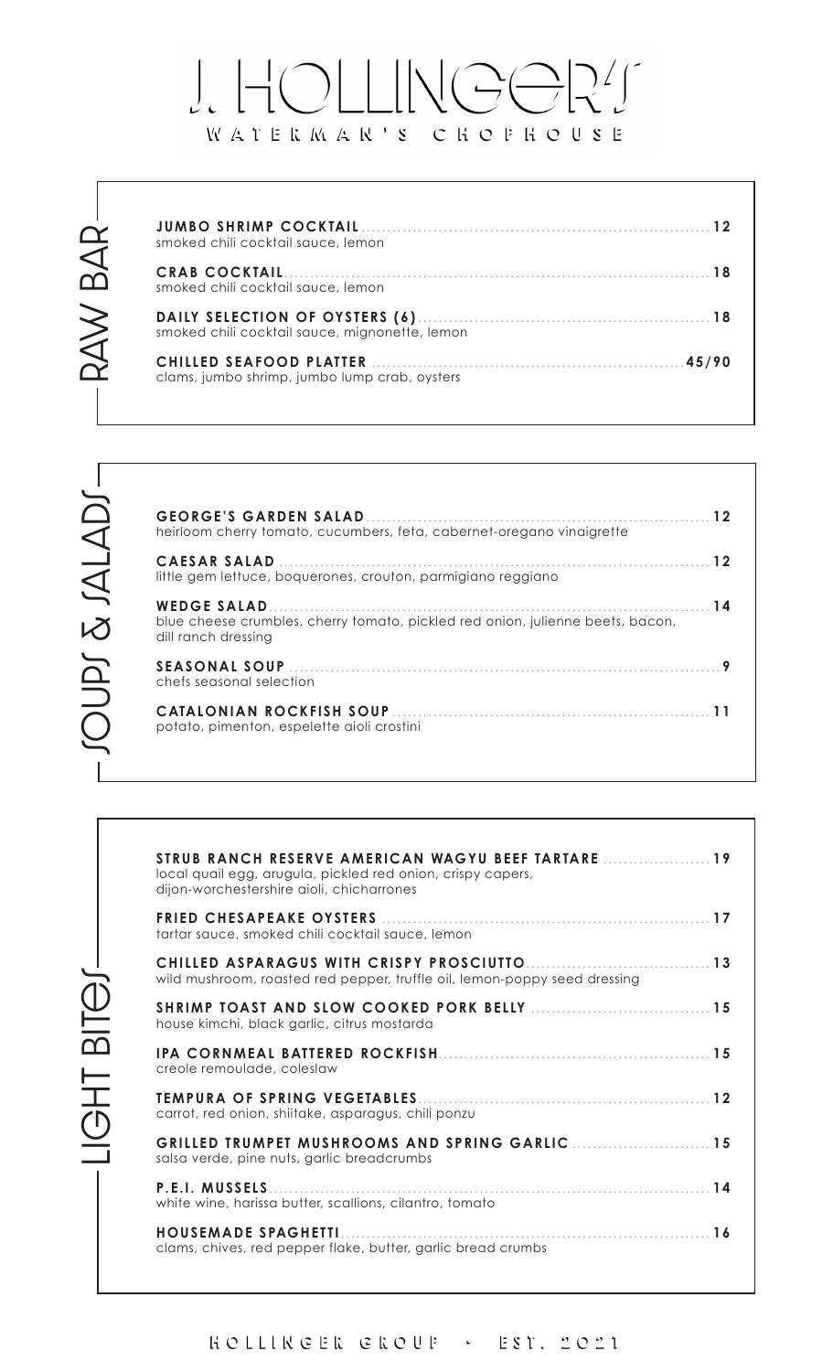## $\frac{1}{\sqrt{2}}\left|\sum_{i=1}^{n}f_{i}\right|^{2}$  $\int_{\mathcal{C}}$  $\frac{1}{1}$  $\left| \begin{array}{c} \end{array} \right|$  $\left( \begin{array}{c} \begin{array}{c} \begin{array}{c} \end{array}\\ \end{array} \right)$ WATERMAR'S CHOPHOUSE

| smoked chili cocktail sauce, lemon             |  |
|------------------------------------------------|--|
| smoked chili cocktail sauce, lemon             |  |
| smoked chili cocktail sauce, mignonette, lemon |  |
| clams, jumbo shrimp, jumbo lump crab, oysters  |  |

LIGHT BITOJ-

| heirloom cherry tomato, cucumbers, feta, cabernet-oregano vinaigrette                                 |  |
|-------------------------------------------------------------------------------------------------------|--|
| little gem lettuce, boquerones, crouton, parmigiano reggiano                                          |  |
| blue cheese crumbles, cherry tomato, pickled red onion, julienne beets, bacon,<br>dill ranch dressing |  |
| chefs seasonal selection                                                                              |  |
| potato, pimenton, espelette aioli crostini                                                            |  |

| STRUB RANCH RESERVE AMERICAN WAGYU BEEF TARTARE  19<br>local quail egg, arugula, pickled red onion, crispy capers,<br>dijon-worchestershire aioli, chicharrones |
|-----------------------------------------------------------------------------------------------------------------------------------------------------------------|
| tartar sauce, smoked chili cocktail sauce, lemon                                                                                                                |
| wild mushroom, roasted red pepper, truffle oil, lemon-poppy seed dressing                                                                                       |
| SHRIMP TOAST AND SLOW COOKED PORK BELLY<br>house kimchi, black garlic, citrus mostarda                                                                          |
| creole remoulade, coleslaw                                                                                                                                      |
| carrot, red onion, shiitake, asparagus, chili ponzu                                                                                                             |
| GRILLED TRUMPET MUSHROOMS AND SPRING GARLIC 15<br>salsa verde, pine nuts, garlic breadcrumbs                                                                    |
| <b>P.E.I. MUSSELS</b><br>white wine, harissa butter, scallions, cilantro, tomato                                                                                |
| HOUSEMADE SPAGHETTI<br>clams, chives, red pepper flake, butter, garlic bread crumbs                                                                             |
|                                                                                                                                                                 |